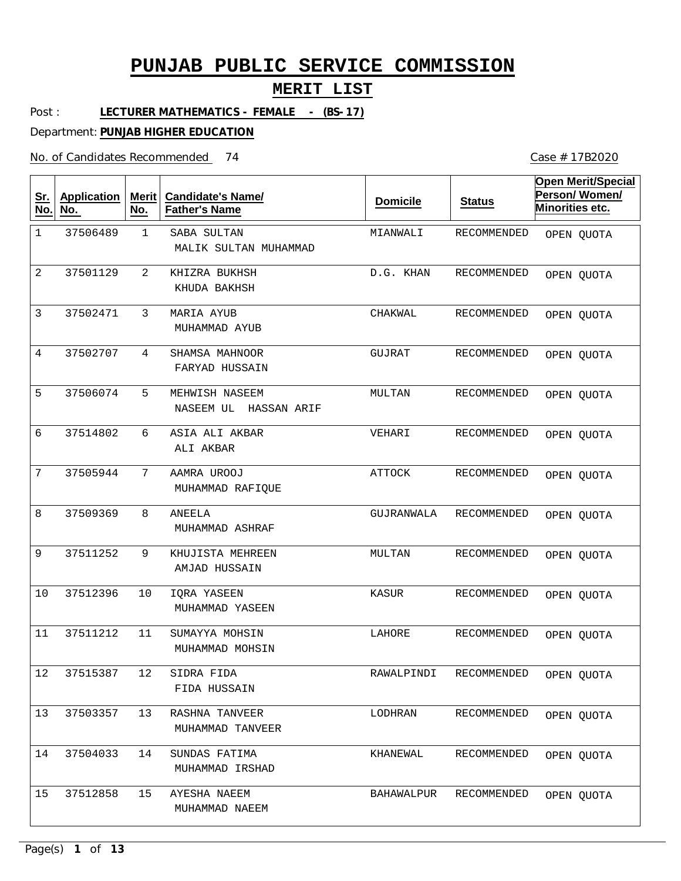### **MERIT LIST**

Post : **LECTURER MATHEMATICS - FEMALE - (BS-17)**

Department: **PUNJAB HIGHER EDUCATION**

No. of Candidates Recommended

| <u>Sr.</u><br>No. | <b>Application</b><br>No. | <b>Merit</b><br>No. | <b>Candidate's Name/</b><br><b>Father's Name</b> | <b>Domicile</b> | <b>Status</b>          | <b>Open Merit/Special</b><br>Person/Women/<br>Minorities etc. |  |
|-------------------|---------------------------|---------------------|--------------------------------------------------|-----------------|------------------------|---------------------------------------------------------------|--|
| $\mathbf 1$       | 37506489                  | $\mathbf{1}$        | SABA SULTAN<br>MALIK SULTAN MUHAMMAD             | MIANWALI        | RECOMMENDED            | OPEN QUOTA                                                    |  |
| 2                 | 37501129                  | 2                   | KHIZRA BUKHSH<br>KHUDA BAKHSH                    | D.G. KHAN       | RECOMMENDED            | OPEN QUOTA                                                    |  |
| 3                 | 37502471                  | 3                   | MARIA AYUB<br>MUHAMMAD AYUB                      | CHAKWAL         | RECOMMENDED            | OPEN QUOTA                                                    |  |
| $\overline{4}$    | 37502707                  | 4                   | SHAMSA MAHNOOR<br>FARYAD HUSSAIN                 | GUJRAT          | RECOMMENDED            | OPEN QUOTA                                                    |  |
| 5                 | 37506074                  | 5                   | MEHWISH NASEEM<br>NASEEM UL<br>HASSAN ARIF       | MULTAN          | RECOMMENDED            | OPEN QUOTA                                                    |  |
| 6                 | 37514802                  | 6                   | ASIA ALI AKBAR<br>ALI AKBAR                      | VEHARI          | RECOMMENDED            | OPEN QUOTA                                                    |  |
| 7                 | 37505944                  | 7                   | AAMRA UROOJ<br>MUHAMMAD RAFIQUE                  | <b>ATTOCK</b>   | RECOMMENDED            | OPEN QUOTA                                                    |  |
| 8                 | 37509369                  | 8                   | ANEELA<br>MUHAMMAD ASHRAF                        | GUJRANWALA      | RECOMMENDED            | OPEN QUOTA                                                    |  |
| 9                 | 37511252                  | 9                   | KHUJISTA MEHREEN<br>AMJAD HUSSAIN                | MULTAN          | RECOMMENDED            | OPEN QUOTA                                                    |  |
| 10                | 37512396                  | 10                  | IORA YASEEN<br>MUHAMMAD YASEEN                   | KASUR           | RECOMMENDED            | OPEN QUOTA                                                    |  |
| 11                | 37511212                  | 11                  | SUMAYYA MOHSIN<br>MUHAMMAD MOHSIN                | LAHORE          | <b>RECOMMENDED</b>     | OPEN QUOTA                                                    |  |
| 12                | 37515387                  | 12                  | SIDRA FIDA<br>FIDA HUSSAIN                       |                 | RAWALPINDI RECOMMENDED | OPEN QUOTA                                                    |  |
| 13                | 37503357                  | 13                  | RASHNA TANVEER<br>MUHAMMAD TANVEER               | LODHRAN         | RECOMMENDED            | OPEN QUOTA                                                    |  |
| 14                | 37504033                  | 14                  | SUNDAS FATIMA<br>MUHAMMAD IRSHAD                 | KHANEWAL        | RECOMMENDED            | OPEN QUOTA                                                    |  |
| 15                | 37512858                  | 15                  | AYESHA NAEEM<br>MUHAMMAD NAEEM                   | BAHAWALPUR      | RECOMMENDED            | OPEN QUOTA                                                    |  |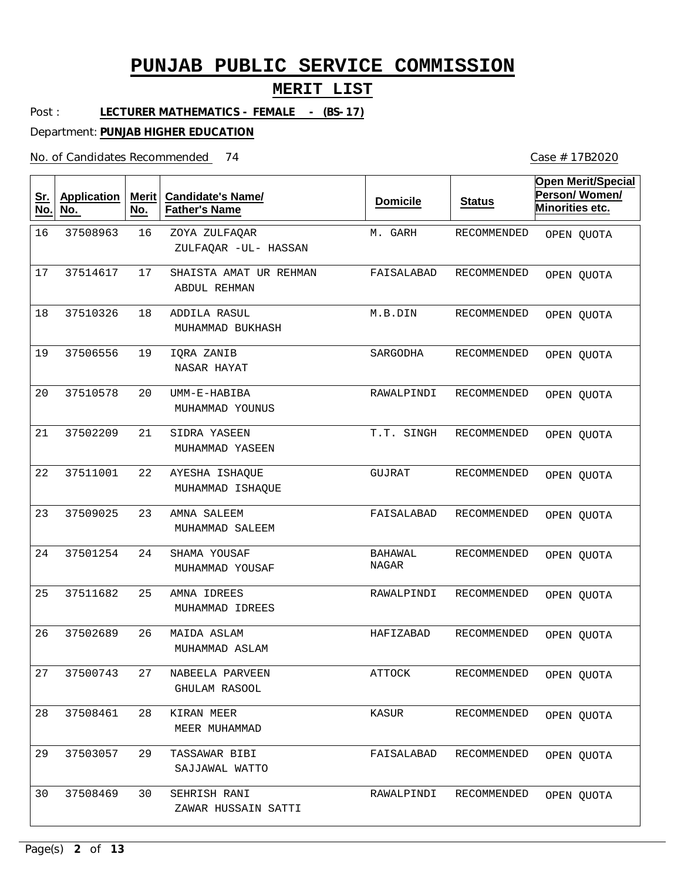#### **MERIT LIST**

Post : LECTURER MATHEMATICS - FEMALE - (BS-17)

> **Candidate's Name/ Father's Name**

Department: **PUNJAB HIGHER EDUCATION**

**Merit No.**

No. of Candidates Recommended

**Sr. No.**

**Application**

**No.** 

M. GARH RECOMMENDED **Domicile Status Open Merit/Special Person/ Women/ Minorities etc.** OPEN QUOTA

| 16 | 37508963 | 16 | ZOYA ZULFAQAR<br>ZULFAQAR -UL- HASSAN  | M. GARH                 | RECOMMENDED        | OPEN QUOTA |
|----|----------|----|----------------------------------------|-------------------------|--------------------|------------|
| 17 | 37514617 | 17 | SHAISTA AMAT UR REHMAN<br>ABDUL REHMAN | FAISALABAD              | RECOMMENDED        | OPEN QUOTA |
| 18 | 37510326 | 18 | ADDILA RASUL<br>MUHAMMAD BUKHASH       | M.B.DIN                 | RECOMMENDED        | OPEN QUOTA |
| 19 | 37506556 | 19 | IQRA ZANIB<br>NASAR HAYAT              | SARGODHA                | <b>RECOMMENDED</b> | OPEN QUOTA |
| 20 | 37510578 | 20 | UMM-E-HABIBA<br>MUHAMMAD YOUNUS        | RAWALPINDI              | RECOMMENDED        | OPEN QUOTA |
| 21 | 37502209 | 21 | SIDRA YASEEN<br>MUHAMMAD YASEEN        | T.T. SINGH              | RECOMMENDED        | OPEN QUOTA |
| 22 | 37511001 | 22 | AYESHA ISHAQUE<br>MUHAMMAD ISHAQUE     | GUJRAT                  | <b>RECOMMENDED</b> | OPEN QUOTA |
| 23 | 37509025 | 23 | AMNA SALEEM<br>MUHAMMAD SALEEM         | FAISALABAD              | RECOMMENDED        | OPEN QUOTA |
| 24 | 37501254 | 24 | SHAMA YOUSAF<br>MUHAMMAD YOUSAF        | <b>BAHAWAL</b><br>NAGAR | RECOMMENDED        | OPEN QUOTA |
| 25 | 37511682 | 25 | AMNA IDREES<br>MUHAMMAD IDREES         | RAWALPINDI              | RECOMMENDED        | OPEN QUOTA |
| 26 | 37502689 | 26 | MAIDA ASLAM<br>MUHAMMAD ASLAM          | HAFIZABAD               | RECOMMENDED        | OPEN QUOTA |
| 27 | 37500743 | 27 | NABEELA PARVEEN<br>GHULAM RASOOL       | ATTOCK                  | RECOMMENDED        | OPEN QUOTA |
| 28 | 37508461 | 28 | KIRAN MEER<br>MEER MUHAMMAD            | KASUR                   | RECOMMENDED        | OPEN QUOTA |
| 29 | 37503057 | 29 | TASSAWAR BIBI<br>SAJJAWAL WATTO        | FAISALABAD              | RECOMMENDED        | OPEN QUOTA |
| 30 | 37508469 | 30 | SEHRISH RANI<br>ZAWAR HUSSAIN SATTI    | RAWALPINDI              | RECOMMENDED        | OPEN QUOTA |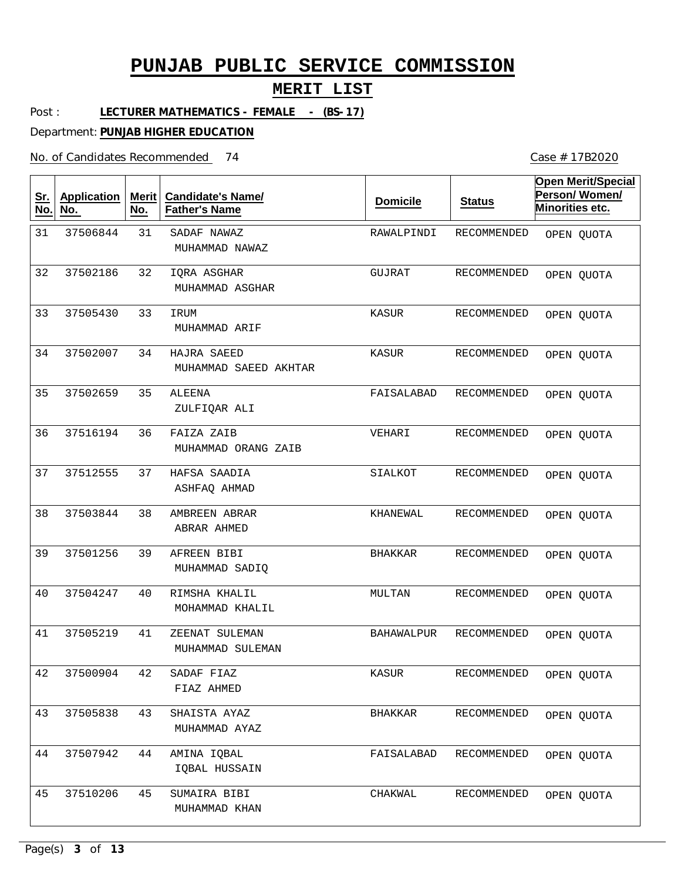### **MERIT LIST**

Post : **LECTURER MATHEMATICS - FEMALE - (BS-17)**

Department: **PUNJAB HIGHER EDUCATION**

No. of Candidates Recommended

| <u>Sr.</u><br>No. | <b>Application</b><br>No. | Merit<br>No. | <b>Candidate's Name/</b><br><b>Father's Name</b> | <b>Domicile</b> | <b>Status</b>      | <b>Open Merit/Special</b><br>Person/Women/<br>Minorities etc. |
|-------------------|---------------------------|--------------|--------------------------------------------------|-----------------|--------------------|---------------------------------------------------------------|
| 31                | 37506844                  | 31           | SADAF NAWAZ<br>MUHAMMAD NAWAZ                    | RAWALPINDI      | <b>RECOMMENDED</b> | OPEN QUOTA                                                    |
| 32                | 37502186                  | 32           | IQRA ASGHAR<br>MUHAMMAD ASGHAR                   | GUJRAT          | RECOMMENDED        | OPEN QUOTA                                                    |
| 33                | 37505430                  | 33           | IRUM<br>MUHAMMAD ARIF                            | KASUR           | RECOMMENDED        | OPEN QUOTA                                                    |
| 34                | 37502007                  | 34           | HAJRA SAEED<br>MUHAMMAD SAEED AKHTAR             | KASUR           | RECOMMENDED        | OPEN QUOTA                                                    |
| 35                | 37502659                  | 35           | ALEENA<br>ZULFIQAR ALI                           | FAISALABAD      | RECOMMENDED        | OPEN QUOTA                                                    |
| 36                | 37516194                  | 36           | FAIZA ZAIB<br>MUHAMMAD ORANG ZAIB                | VEHARI          | RECOMMENDED        | OPEN QUOTA                                                    |
| 37                | 37512555                  | 37           | HAFSA SAADIA<br>ASHFAQ AHMAD                     | SIALKOT         | RECOMMENDED        | OPEN QUOTA                                                    |
| 38                | 37503844                  | 38           | AMBREEN ABRAR<br>ABRAR AHMED                     | KHANEWAL        | RECOMMENDED        | OPEN QUOTA                                                    |
| 39                | 37501256                  | 39           | AFREEN BIBI<br>MUHAMMAD SADIQ                    | <b>BHAKKAR</b>  | RECOMMENDED        | OPEN QUOTA                                                    |
| 40                | 37504247                  | 40           | RIMSHA KHALIL<br>MOHAMMAD KHALIL                 | MULTAN          | RECOMMENDED        | OPEN QUOTA                                                    |
| 41                | 37505219                  | 41           | ZEENAT SULEMAN<br>MUHAMMAD SULEMAN               | BAHAWALPUR      | RECOMMENDED        | OPEN QUOTA                                                    |
| 42                | 37500904                  | 42           | SADAF FIAZ<br>FIAZ AHMED                         | KASUR           | RECOMMENDED        | OPEN QUOTA                                                    |
| 43                | 37505838                  | 43           | SHAISTA AYAZ<br>MUHAMMAD AYAZ                    | <b>BHAKKAR</b>  | RECOMMENDED        | OPEN QUOTA                                                    |
| 44                | 37507942                  | 44           | AMINA IQBAL<br>IQBAL HUSSAIN                     | FAISALABAD      | RECOMMENDED        | OPEN QUOTA                                                    |
| 45                | 37510206                  | 45           | SUMAIRA BIBI<br>MUHAMMAD KHAN                    | CHAKWAL         | RECOMMENDED        | OPEN QUOTA                                                    |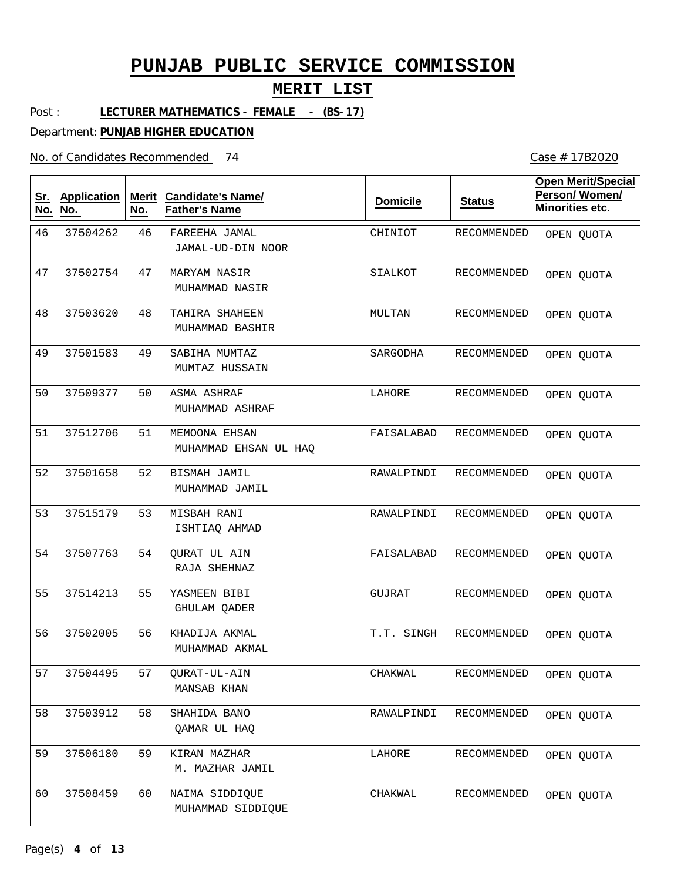### **MERIT LIST**

Post : **LECTURER MATHEMATICS - FEMALE - (BS-17)**

Department: **PUNJAB HIGHER EDUCATION**

No. of Candidates Recommended

| <u>Sr.</u><br>No. | <b>Application</b><br>No. | Merit<br>No. | <b>Candidate's Name/</b><br><b>Father's Name</b> | <b>Domicile</b> | <b>Status</b>      | <b>Open Merit/Special</b><br>Person/Women/<br>Minorities etc. |
|-------------------|---------------------------|--------------|--------------------------------------------------|-----------------|--------------------|---------------------------------------------------------------|
| 46                | 37504262                  | 46           | FAREEHA JAMAL<br>JAMAL-UD-DIN NOOR               | CHINIOT         | <b>RECOMMENDED</b> | OPEN QUOTA                                                    |
| 47                | 37502754                  | 47           | MARYAM NASIR<br>MUHAMMAD NASIR                   | SIALKOT         | <b>RECOMMENDED</b> | OPEN QUOTA                                                    |
| 48                | 37503620                  | 48           | TAHIRA SHAHEEN<br>MUHAMMAD BASHIR                | MULTAN          | <b>RECOMMENDED</b> | OPEN QUOTA                                                    |
| 49                | 37501583                  | 49           | SABIHA MUMTAZ<br>MUMTAZ HUSSAIN                  | SARGODHA        | <b>RECOMMENDED</b> | OPEN QUOTA                                                    |
| 50                | 37509377                  | 50           | <b>ASMA ASHRAF</b><br>MUHAMMAD ASHRAF            | LAHORE          | <b>RECOMMENDED</b> | OPEN QUOTA                                                    |
| 51                | 37512706                  | 51           | MEMOONA EHSAN<br>MUHAMMAD EHSAN UL HAQ           | FAISALABAD      | <b>RECOMMENDED</b> | OPEN QUOTA                                                    |
| 52                | 37501658                  | 52           | BISMAH JAMIL<br>MUHAMMAD JAMIL                   | RAWALPINDI      | <b>RECOMMENDED</b> | OPEN QUOTA                                                    |
| 53                | 37515179                  | 53           | MISBAH RANI<br>ISHTIAQ AHMAD                     | RAWALPINDI      | <b>RECOMMENDED</b> | OPEN QUOTA                                                    |
| 54                | 37507763                  | 54           | QURAT UL AIN<br>RAJA SHEHNAZ                     | FAISALABAD      | <b>RECOMMENDED</b> | OPEN QUOTA                                                    |
| 55                | 37514213                  | 55           | YASMEEN BIBI<br>GHULAM QADER                     | GUJRAT          | <b>RECOMMENDED</b> | OPEN QUOTA                                                    |
| 56                | 37502005                  | 56           | KHADIJA AKMAL<br>MUHAMMAD AKMAL                  | T.T. SINGH      | <b>RECOMMENDED</b> | OPEN QUOTA                                                    |
| 57                | 37504495                  | 57           | QURAT-UL-AIN<br>MANSAB KHAN                      | CHAKWAL         | RECOMMENDED        | OPEN QUOTA                                                    |
| 58                | 37503912                  | 58           | SHAHIDA BANO<br>QAMAR UL HAQ                     | RAWALPINDI      | RECOMMENDED        | OPEN QUOTA                                                    |
| 59                | 37506180                  | 59           | KIRAN MAZHAR<br>M. MAZHAR JAMIL                  | LAHORE          | RECOMMENDED        | OPEN QUOTA                                                    |
| 60                | 37508459                  | 60           | NAIMA SIDDIQUE<br>MUHAMMAD SIDDIQUE              | CHAKWAL         | RECOMMENDED        | OPEN QUOTA                                                    |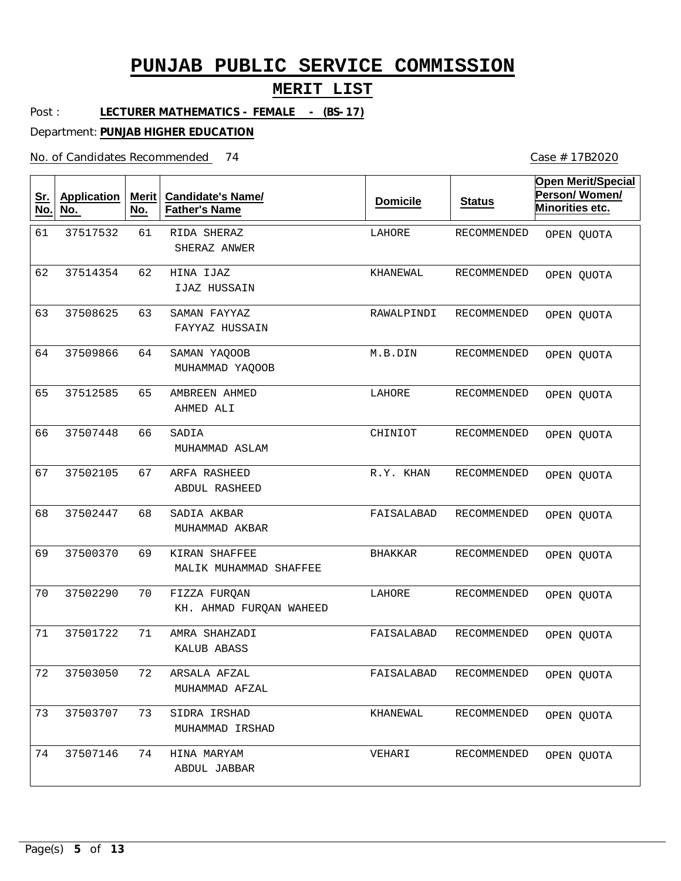### **MERIT LIST**

Post : **LECTURER MATHEMATICS - FEMALE - (BS-17)**

Department: **PUNJAB HIGHER EDUCATION**

No. of Candidates Recommended

| <u>Sr.</u><br>No. | <b>Application</b><br>No. | <b>Merit</b><br>No. | <b>Candidate's Name/</b><br><b>Father's Name</b> | <b>Domicile</b> | <b>Status</b>          | <b>Open Merit/Special</b><br>Person/Women/<br>Minorities etc. |
|-------------------|---------------------------|---------------------|--------------------------------------------------|-----------------|------------------------|---------------------------------------------------------------|
| 61                | 37517532                  | 61                  | RIDA SHERAZ<br>SHERAZ ANWER                      | LAHORE          | RECOMMENDED            | OPEN QUOTA                                                    |
| 62                | 37514354                  | 62                  | HINA IJAZ<br>IJAZ HUSSAIN                        | KHANEWAL        | <b>RECOMMENDED</b>     | OPEN QUOTA                                                    |
| 63                | 37508625                  | 63                  | SAMAN FAYYAZ<br>FAYYAZ HUSSAIN                   | RAWALPINDI      | <b>RECOMMENDED</b>     | OPEN QUOTA                                                    |
| 64                | 37509866                  | 64                  | SAMAN YAQOOB<br>MUHAMMAD YAQOOB                  | M.B.DIN         | <b>RECOMMENDED</b>     | OPEN QUOTA                                                    |
| 65                | 37512585                  | 65                  | AMBREEN AHMED<br>AHMED ALI                       | LAHORE          | <b>RECOMMENDED</b>     | OPEN QUOTA                                                    |
| 66                | 37507448                  | 66                  | SADIA<br>MUHAMMAD ASLAM                          | CHINIOT         | RECOMMENDED            | OPEN QUOTA                                                    |
| 67                | 37502105                  | 67                  | ARFA RASHEED<br>ABDUL RASHEED                    | R.Y. KHAN       | RECOMMENDED            | OPEN QUOTA                                                    |
| 68                | 37502447                  | 68                  | SADIA AKBAR<br>MUHAMMAD AKBAR                    | FAISALABAD      | RECOMMENDED            | OPEN QUOTA                                                    |
| 69                | 37500370                  | 69                  | KIRAN SHAFFEE<br>MALIK MUHAMMAD SHAFFEE          | <b>BHAKKAR</b>  | RECOMMENDED            | OPEN QUOTA                                                    |
| 70                | 37502290                  | 70                  | FIZZA FURQAN<br>KH. AHMAD FURQAN WAHEED          | LAHORE          | RECOMMENDED            | OPEN QUOTA                                                    |
| 71                | 37501722                  | 71                  | AMRA SHAHZADI<br>KALUB ABASS                     | FAISALABAD      | <b>RECOMMENDED</b>     | OPEN QUOTA                                                    |
| 72                | 37503050                  | 72                  | ARSALA AFZAL<br>MUHAMMAD AFZAL                   |                 | FAISALABAD RECOMMENDED | OPEN QUOTA                                                    |
| 73                | 37503707                  | 73                  | SIDRA IRSHAD<br>MUHAMMAD IRSHAD                  | KHANEWAL        | RECOMMENDED            | OPEN QUOTA                                                    |
| 74                | 37507146                  | 74                  | HINA MARYAM<br>ABDUL JABBAR                      | VEHARI          | RECOMMENDED            | OPEN QUOTA                                                    |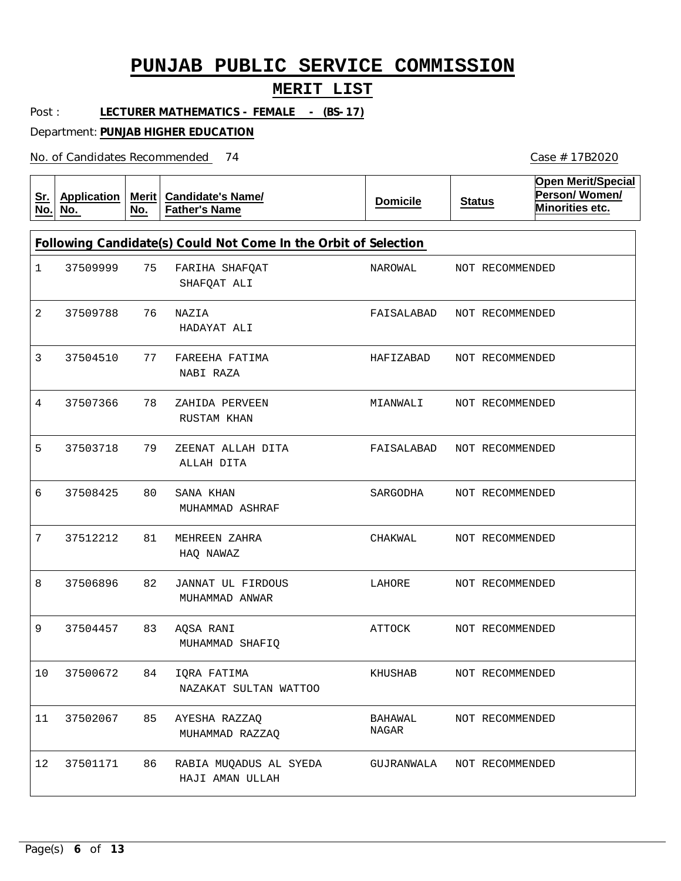### **MERIT LIST**

Post : LECTURER MATHEMATICS - FEMALE - (BS-17)

Department: **PUNJAB HIGHER EDUCATION**

No. of Candidates Recommended

| <u>Sr.</u><br>No. | <b>Application</b><br>No. | Merit $ $<br>No. | <b>Candidate's Name/</b><br><b>Father's Name</b>                | <b>Domicile</b>  | <b>Status</b> |                 | <b>Open Merit/Special</b><br>Person/Women/<br>Minorities etc. |
|-------------------|---------------------------|------------------|-----------------------------------------------------------------|------------------|---------------|-----------------|---------------------------------------------------------------|
|                   |                           |                  | Following Candidate(s) Could Not Come In the Orbit of Selection |                  |               |                 |                                                               |
| 1                 | 37509999                  | 75               | FARIHA SHAFQAT<br>SHAFQAT ALI                                   | NAROWAL          |               | NOT RECOMMENDED |                                                               |
| 2                 | 37509788                  | 76               | NAZIA<br>HADAYAT ALI                                            | FAISALABAD       |               | NOT RECOMMENDED |                                                               |
| 3                 | 37504510                  | 77               | FAREEHA FATIMA<br>NABI RAZA                                     | HAFIZABAD        |               | NOT RECOMMENDED |                                                               |
| 4                 | 37507366                  | 78               | ZAHIDA PERVEEN<br>RUSTAM KHAN                                   | MIANWALI         |               | NOT RECOMMENDED |                                                               |
| 5                 | 37503718                  | 79               | ZEENAT ALLAH DITA<br>ALLAH DITA                                 | FAISALABAD       |               | NOT RECOMMENDED |                                                               |
| 6                 | 37508425                  | 80               | SANA KHAN<br>MUHAMMAD ASHRAF                                    | SARGODHA         |               | NOT RECOMMENDED |                                                               |
| 7                 | 37512212                  | 81               | MEHREEN ZAHRA<br>HAQ NAWAZ                                      | CHAKWAL          |               | NOT RECOMMENDED |                                                               |
| 8                 | 37506896                  | 82               | JANNAT UL FIRDOUS<br>MUHAMMAD ANWAR                             | LAHORE           |               | NOT RECOMMENDED |                                                               |
| 9                 | 37504457                  | 83               | AQSA RANI<br>MUHAMMAD SHAFIQ                                    | ATTOCK           |               | NOT RECOMMENDED |                                                               |
| 10                | 37500672                  | 84               | IORA FATIMA<br>NAZAKAT SULTAN WATTOO                            | KHUSHAB          |               | NOT RECOMMENDED |                                                               |
| 11                | 37502067                  | 85               | AYESHA RAZZAQ<br>MUHAMMAD RAZZAQ                                | BAHAWAL<br>NAGAR |               | NOT RECOMMENDED |                                                               |
| 12                | 37501171                  | 86               | RABIA MUQADUS AL SYEDA<br>HAJI AMAN ULLAH                       | GUJRANWALA       |               | NOT RECOMMENDED |                                                               |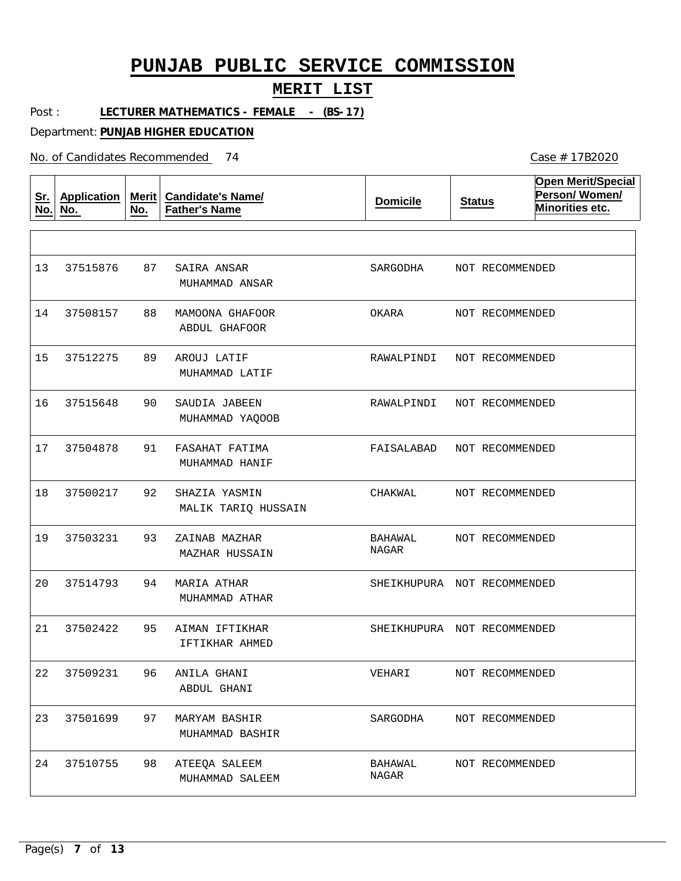### **MERIT LIST**

Post : **LECTURER MATHEMATICS - FEMALE - (BS-17)**

Department: **PUNJAB HIGHER EDUCATION**

No. of Candidates Recommended

| <u>Sr.</u><br>No. | Application<br>No. | Merit $ $<br>No. | <b>Candidate's Name/</b><br><b>Father's Name</b> | <b>Domicile</b>             | <b>Status</b>   | <b>Open Merit/Special</b><br>Person/Women/<br>Minorities etc. |
|-------------------|--------------------|------------------|--------------------------------------------------|-----------------------------|-----------------|---------------------------------------------------------------|
|                   |                    |                  |                                                  |                             |                 |                                                               |
| 13                | 37515876           | 87               | SAIRA ANSAR<br>MUHAMMAD ANSAR                    | SARGODHA                    | NOT RECOMMENDED |                                                               |
| 14                | 37508157           | 88               | MAMOONA GHAFOOR<br>ABDUL GHAFOOR                 | OKARA                       | NOT RECOMMENDED |                                                               |
| 15                | 37512275           | 89               | AROUJ LATIF<br>MUHAMMAD LATIF                    | RAWALPINDI                  | NOT RECOMMENDED |                                                               |
| 16                | 37515648           | 90               | SAUDIA JABEEN<br>MUHAMMAD YAQOOB                 | RAWALPINDI                  | NOT RECOMMENDED |                                                               |
| 17                | 37504878           | 91               | FASAHAT FATIMA<br>MUHAMMAD HANIF                 | FAISALABAD                  | NOT RECOMMENDED |                                                               |
| 18                | 37500217           | 92               | SHAZIA YASMIN<br>MALIK TARIQ HUSSAIN             | CHAKWAL                     | NOT RECOMMENDED |                                                               |
| 19                | 37503231           | 93               | ZAINAB MAZHAR<br>MAZHAR HUSSAIN                  | BAHAWAL<br>NAGAR            | NOT RECOMMENDED |                                                               |
| 20                | 37514793           | 94               | MARIA ATHAR<br>MUHAMMAD ATHAR                    | SHEIKHUPURA NOT RECOMMENDED |                 |                                                               |
| 21                | 37502422           | 95               | AIMAN IFTIKHAR<br><b>IFTIKHAR AHMED</b>          | SHEIKHUPURA NOT RECOMMENDED |                 |                                                               |
| 22                | 37509231           | 96               | ANILA GHANI<br>ABDUL GHANI                       | VEHARI                      | NOT RECOMMENDED |                                                               |
| 23                | 37501699           | 97               | MARYAM BASHIR<br>MUHAMMAD BASHIR                 | SARGODHA                    | NOT RECOMMENDED |                                                               |
| 24                | 37510755           | 98               | ATEEQA SALEEM<br>MUHAMMAD SALEEM                 | BAHAWAL<br>$\rm NAGAR$      | NOT RECOMMENDED |                                                               |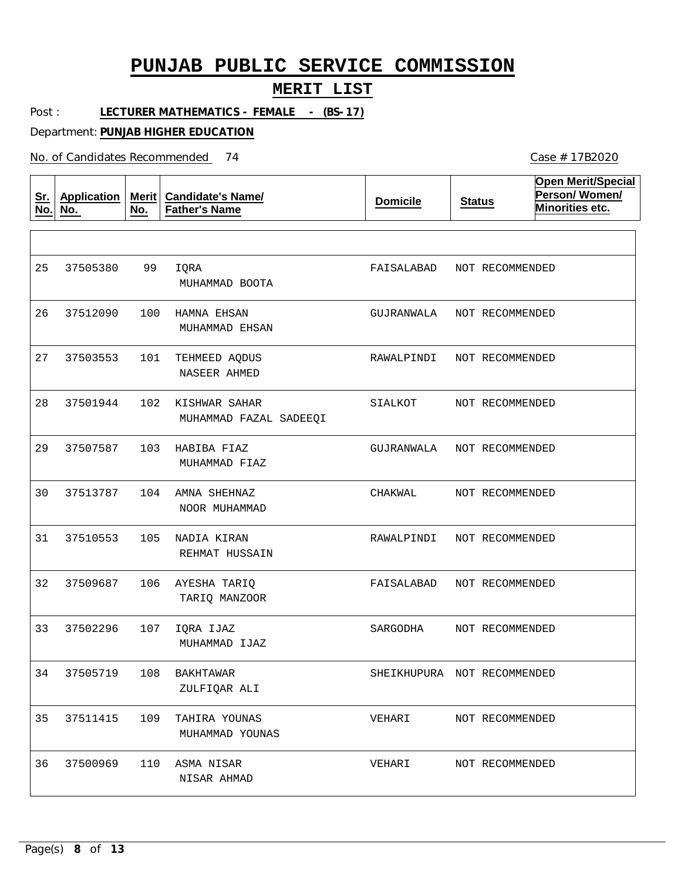### **MERIT LIST**

Case # 17B2020

Post : LECTURER MATHEMATICS - FEMALE - (BS-17)

Department: **PUNJAB HIGHER EDUCATION**

No. of Candidates Recommended

| <u>Sr.</u><br>No. | <b>Application</b><br>No. | <b>Merit</b><br>No. | <b>Candidate's Name/</b><br><b>Father's Name</b> | <b>Domicile</b>             | <b>Status</b> | <b>Open Merit/Special</b><br>Person/Women/<br>Minorities etc. |
|-------------------|---------------------------|---------------------|--------------------------------------------------|-----------------------------|---------------|---------------------------------------------------------------|
|                   |                           |                     |                                                  |                             |               |                                                               |
| 25                | 37505380                  | 99                  | IQRA<br>MUHAMMAD BOOTA                           | FAISALABAD                  |               | NOT RECOMMENDED                                               |
| 26                | 37512090                  | 100                 | HAMNA EHSAN<br>MUHAMMAD EHSAN                    | GUJRANWALA                  |               | NOT RECOMMENDED                                               |
| 27                | 37503553                  | 101                 | TEHMEED AQDUS<br>NASEER AHMED                    | RAWALPINDI                  |               | NOT RECOMMENDED                                               |
| 28                | 37501944                  | 102                 | KISHWAR SAHAR<br>MUHAMMAD FAZAL SADEEQI          | SIALKOT                     |               | NOT RECOMMENDED                                               |
| 29                | 37507587                  | 103                 | HABIBA FIAZ<br>MUHAMMAD FIAZ                     | GUJRANWALA                  |               | NOT RECOMMENDED                                               |
| 30                | 37513787                  | 104                 | AMNA SHEHNAZ<br>NOOR MUHAMMAD                    | CHAKWAL                     |               | NOT RECOMMENDED                                               |
| 31                | 37510553                  | 105                 | NADIA KIRAN<br>REHMAT HUSSAIN                    | RAWALPINDI                  |               | NOT RECOMMENDED                                               |
| 32                | 37509687                  | 106                 | AYESHA TARIQ<br>TARIQ MANZOOR                    | FAISALABAD                  |               | NOT RECOMMENDED                                               |
| 33                | 37502296                  | 107                 | IQRA IJAZ<br>MUHAMMAD IJAZ                       | SARGODHA                    |               | NOT RECOMMENDED                                               |
| 34                | 37505719                  | 108                 | BAKHTAWAR<br>ZULFIQAR ALI                        | SHEIKHUPURA NOT RECOMMENDED |               |                                                               |
| 35                | 37511415                  | 109                 | TAHIRA YOUNAS<br>MUHAMMAD YOUNAS                 | VEHARI                      |               | NOT RECOMMENDED                                               |
| 36                | 37500969                  | 110                 | ASMA NISAR<br>NISAR AHMAD                        | VEHARI                      |               | NOT RECOMMENDED                                               |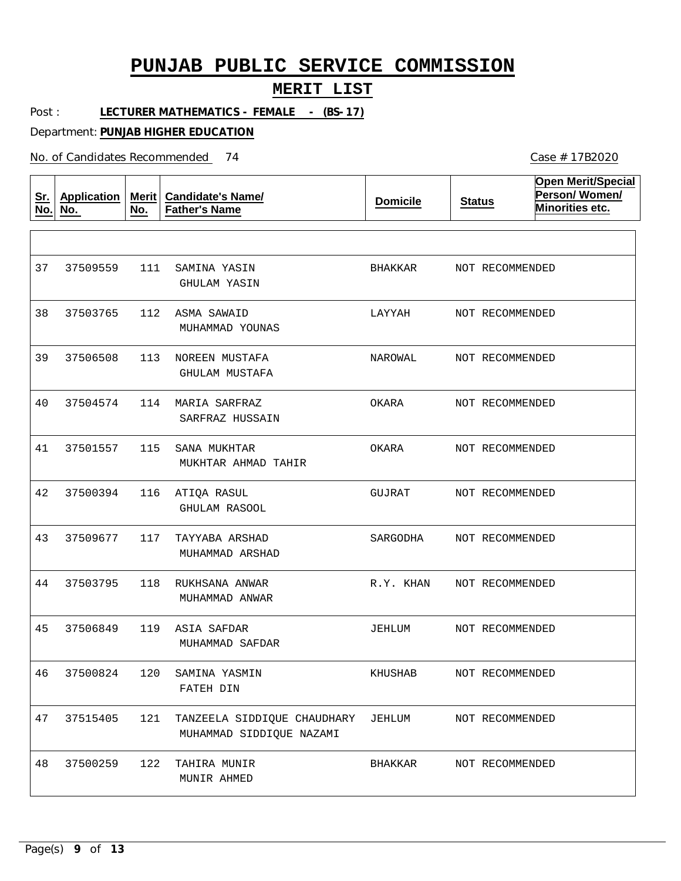### **MERIT LIST**

Post : LECTURER MATHEMATICS - FEMALE - (BS-17)

Department: **PUNJAB HIGHER EDUCATION**

No. of Candidates Recommended

| <u>Sr.</u><br>No. | <b>Application</b><br>No. | <b>Merit</b><br>No. | <b>Candidate's Name/</b><br><b>Father's Name</b>        | <b>Domicile</b> | <b>Status</b>   | <b>Open Merit/Special</b><br>Person/Women/<br>Minorities etc. |
|-------------------|---------------------------|---------------------|---------------------------------------------------------|-----------------|-----------------|---------------------------------------------------------------|
|                   |                           |                     |                                                         |                 |                 |                                                               |
| 37                | 37509559                  | 111                 | SAMINA YASIN<br>GHULAM YASIN                            | BHAKKAR         | NOT RECOMMENDED |                                                               |
| 38                | 37503765                  | 112                 | ASMA SAWAID<br>MUHAMMAD YOUNAS                          | LAYYAH          | NOT RECOMMENDED |                                                               |
| 39                | 37506508                  | 113                 | NOREEN MUSTAFA<br>GHULAM MUSTAFA                        | NAROWAL         | NOT RECOMMENDED |                                                               |
| 40                | 37504574                  | 114                 | MARIA SARFRAZ<br>SARFRAZ HUSSAIN                        | OKARA           | NOT RECOMMENDED |                                                               |
| 41                | 37501557                  | 115                 | SANA MUKHTAR<br>MUKHTAR AHMAD TAHIR                     | OKARA           | NOT RECOMMENDED |                                                               |
| 42                | 37500394                  | 116                 | ATIQA RASUL<br>GHULAM RASOOL                            | GUJRAT          | NOT RECOMMENDED |                                                               |
| 43                | 37509677                  | 117                 | TAYYABA ARSHAD<br>MUHAMMAD ARSHAD                       | SARGODHA        | NOT RECOMMENDED |                                                               |
| 44                | 37503795                  | 118                 | RUKHSANA ANWAR<br>MUHAMMAD ANWAR                        | R.Y. KHAN       | NOT RECOMMENDED |                                                               |
| 45                | 37506849                  | 119                 | ASIA SAFDAR<br>MUHAMMAD SAFDAR                          | JEHLUM          | NOT RECOMMENDED |                                                               |
| 46                | 37500824                  | 120                 | SAMINA YASMIN<br>FATEH DIN                              | KHUSHAB         | NOT RECOMMENDED |                                                               |
| 47                | 37515405                  | 121                 | TANZEELA SIDDIQUE CHAUDHARY<br>MUHAMMAD SIDDIQUE NAZAMI | JEHLUM          | NOT RECOMMENDED |                                                               |
| 48                | 37500259                  | 122                 | TAHIRA MUNIR<br>MUNIR AHMED                             | BHAKKAR         | NOT RECOMMENDED |                                                               |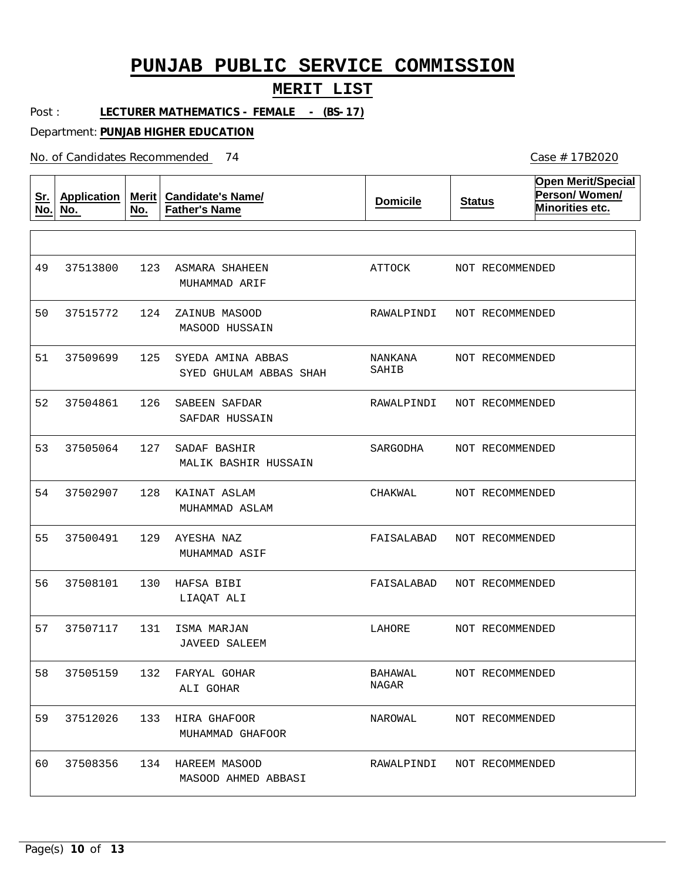### **MERIT LIST**

Post : LECTURER MATHEMATICS - FEMALE - (BS-17)

Department: **PUNJAB HIGHER EDUCATION**

No. of Candidates Recommended

| <u>Sr.</u><br>No. | <b>Application</b><br>No. | Merit<br>No. | <b>Candidate's Name/</b><br><b>Father's Name</b> | <b>Domicile</b>  | <b>Status</b>              | <b>Open Merit/Special</b><br>Person/Women/<br>Minorities etc. |
|-------------------|---------------------------|--------------|--------------------------------------------------|------------------|----------------------------|---------------------------------------------------------------|
|                   |                           |              |                                                  |                  |                            |                                                               |
| 49                | 37513800                  | 123          | ASMARA SHAHEEN<br>MUHAMMAD ARIF                  | ATTOCK           | NOT RECOMMENDED            |                                                               |
| 50                | 37515772                  | 124          | ZAINUB MASOOD<br>MASOOD HUSSAIN                  | RAWALPINDI       | NOT RECOMMENDED            |                                                               |
| 51                | 37509699                  | 125          | SYEDA AMINA ABBAS<br>SYED GHULAM ABBAS SHAH      | NANKANA<br>SAHIB | NOT RECOMMENDED            |                                                               |
| 52                | 37504861                  | 126          | SABEEN SAFDAR<br>SAFDAR HUSSAIN                  | RAWALPINDI       | NOT RECOMMENDED            |                                                               |
| 53                | 37505064                  | 127          | SADAF BASHIR<br>MALIK BASHIR HUSSAIN             | SARGODHA         | NOT RECOMMENDED            |                                                               |
| 54                | 37502907                  | 128          | KAINAT ASLAM<br>MUHAMMAD ASLAM                   | CHAKWAL          | NOT RECOMMENDED            |                                                               |
| 55                | 37500491                  | 129          | AYESHA NAZ<br>MUHAMMAD ASIF                      | FAISALABAD       | NOT RECOMMENDED            |                                                               |
| 56                | 37508101                  | 130          | HAFSA BIBI<br>LIAQAT ALI                         | FAISALABAD       | NOT RECOMMENDED            |                                                               |
| 57                | 37507117                  | 131          | ISMA MARJAN<br><b>JAVEED SALEEM</b>              | LAHORE           | NOT RECOMMENDED            |                                                               |
| 58                | 37505159                  | 132          | FARYAL GOHAR<br>ALI GOHAR                        | BAHAWAL<br>NAGAR | NOT RECOMMENDED            |                                                               |
| 59                | 37512026                  | 133          | HIRA GHAFOOR<br>MUHAMMAD GHAFOOR                 | NAROWAL          | NOT RECOMMENDED            |                                                               |
| 60                | 37508356                  |              | 134 HAREEM MASOOD<br>MASOOD AHMED ABBASI         |                  | RAWALPINDI NOT RECOMMENDED |                                                               |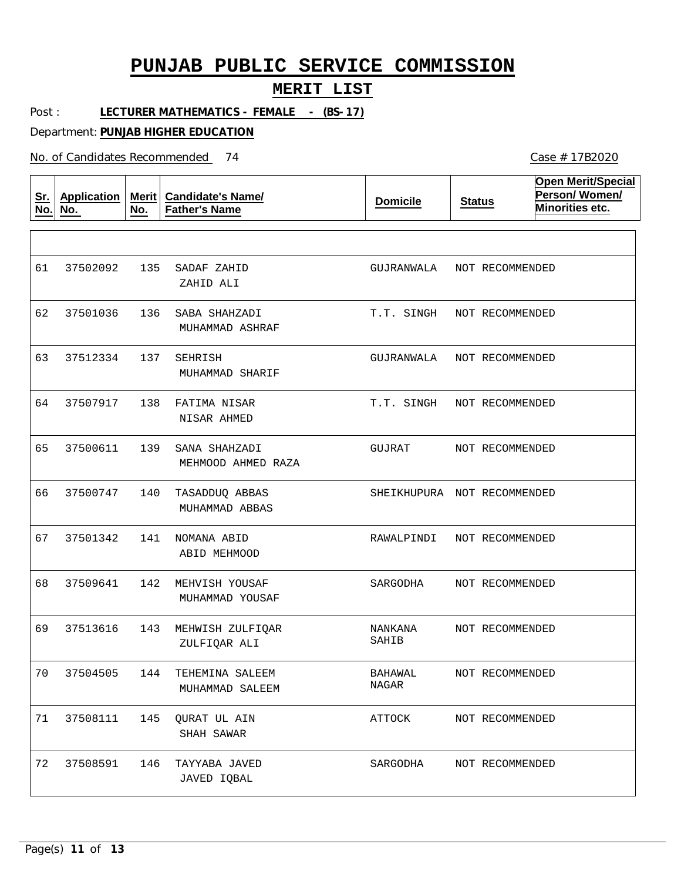### **MERIT LIST**

Post : LECTURER MATHEMATICS - FEMALE - (BS-17)

Department: **PUNJAB HIGHER EDUCATION**

No. of Candidates Recommended

| <u>Sr.</u><br>No. | <b>Application</b><br>No. | Merit  <br>No. | <b>Candidate's Name/</b><br><b>Father's Name</b> | <b>Domicile</b>             | <b>Status</b> |                 | <b>Open Merit/Special</b><br>Person/Women/<br>Minorities etc. |
|-------------------|---------------------------|----------------|--------------------------------------------------|-----------------------------|---------------|-----------------|---------------------------------------------------------------|
|                   |                           |                |                                                  |                             |               |                 |                                                               |
| 61                | 37502092                  | 135            | SADAF ZAHID<br>ZAHID ALI                         | GUJRANWALA                  |               | NOT RECOMMENDED |                                                               |
| 62                | 37501036                  | 136            | SABA SHAHZADI<br>MUHAMMAD ASHRAF                 | T.T. SINGH                  |               | NOT RECOMMENDED |                                                               |
| 63                | 37512334                  | 137            | SEHRISH<br>MUHAMMAD SHARIF                       | GUJRANWALA                  |               | NOT RECOMMENDED |                                                               |
| 64                | 37507917                  | 138            | FATIMA NISAR<br>NISAR AHMED                      | T.T. SINGH                  |               | NOT RECOMMENDED |                                                               |
| 65                | 37500611                  | 139            | SANA SHAHZADI<br>MEHMOOD AHMED RAZA              | GUJRAT                      |               | NOT RECOMMENDED |                                                               |
| 66                | 37500747                  | 140            | TASADDUQ ABBAS<br>MUHAMMAD ABBAS                 | SHEIKHUPURA NOT RECOMMENDED |               |                 |                                                               |
| 67                | 37501342                  | 141            | NOMANA ABID<br>ABID MEHMOOD                      | RAWALPINDI                  |               | NOT RECOMMENDED |                                                               |
| 68                | 37509641                  | 142            | MEHVISH YOUSAF<br>MUHAMMAD YOUSAF                | SARGODHA                    |               | NOT RECOMMENDED |                                                               |
| 69                | 37513616                  | 143            | MEHWISH ZULFIQAR<br>ZULFIQAR ALI                 | NANKANA<br>SAHIB            |               | NOT RECOMMENDED |                                                               |
| 70                | 37504505                  | 144            | TEHEMINA SALEEM<br>MUHAMMAD SALEEM               | BAHAWAL<br>NAGAR            |               | NOT RECOMMENDED |                                                               |
| 71                | 37508111                  | 145            | <b>QURAT UL AIN</b><br>SHAH SAWAR                | ATTOCK                      |               | NOT RECOMMENDED |                                                               |
| 72                | 37508591                  | 146            | TAYYABA JAVED<br>JAVED IQBAL                     | SARGODHA                    |               | NOT RECOMMENDED |                                                               |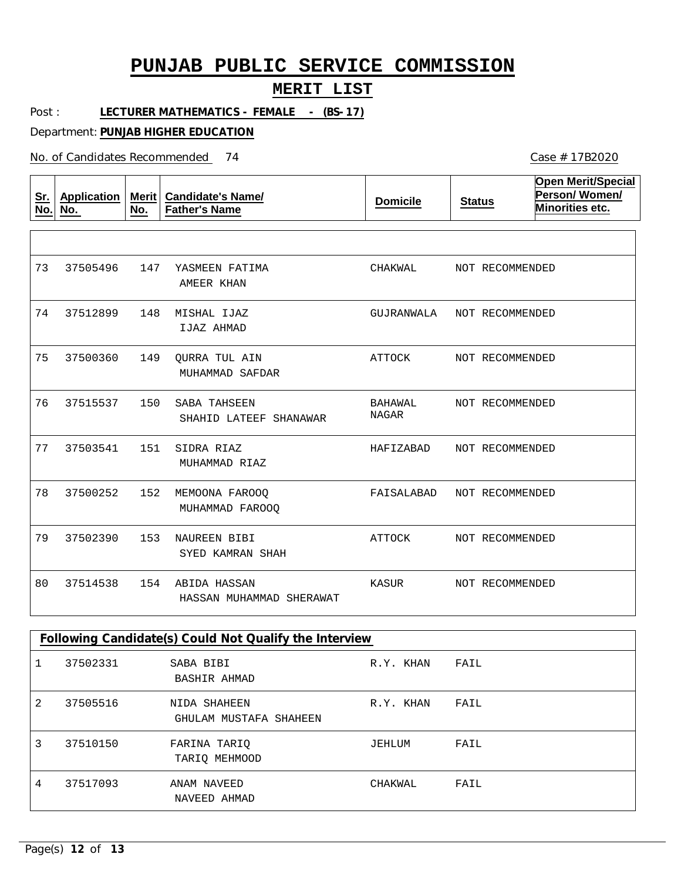### **MERIT LIST**

Post : **LECTURER MATHEMATICS - FEMALE - (BS-17)**

Department: **PUNJAB HIGHER EDUCATION**

No. of Candidates Recommended

| <u>Sr.</u><br>No. | <b>Application</b><br>No. | Merit<br>No. | <b>Candidate's Name/</b><br><b>Father's Name</b> | <b>Domicile</b>         | <b>Status</b>   | <b>Open Merit/Special</b><br>Person/Women/<br>Minorities etc. |
|-------------------|---------------------------|--------------|--------------------------------------------------|-------------------------|-----------------|---------------------------------------------------------------|
|                   |                           |              |                                                  |                         |                 |                                                               |
| 73                | 37505496                  | 147          | YASMEEN FATIMA<br>AMEER KHAN                     | CHAKWAL                 | NOT RECOMMENDED |                                                               |
| 74                | 37512899                  | 148          | MISHAL IJAZ<br>IJAZ AHMAD                        | GUJRANWALA              | NOT RECOMMENDED |                                                               |
| 75                | 37500360                  | 149          | <b>OURRA TUL AIN</b><br>MUHAMMAD SAFDAR          | ATTOCK                  | NOT RECOMMENDED |                                                               |
| 76                | 37515537                  | 150          | SABA TAHSEEN<br>SHAHID LATEEF SHANAWAR           | BAHAWAL<br><b>NAGAR</b> | NOT RECOMMENDED |                                                               |
| 77                | 37503541                  | 151          | SIDRA RIAZ<br>MUHAMMAD RIAZ                      | HAFIZABAD               | NOT RECOMMENDED |                                                               |
| 78                | 37500252                  | 152          | MEMOONA FAROOQ<br>MUHAMMAD FAROOO                | FAISALABAD              | NOT RECOMMENDED |                                                               |
| 79                | 37502390                  | 153          | NAUREEN BIBI<br>SYED KAMRAN SHAH                 | <b>ATTOCK</b>           | NOT RECOMMENDED |                                                               |
| 80                | 37514538                  | 154          | ABIDA HASSAN<br>HASSAN MUHAMMAD SHERAWAT         | KASUR                   | NOT RECOMMENDED |                                                               |

| Following Candidate(s) Could Not Qualify the Interview |          |                                        |           |      |  |  |  |  |  |
|--------------------------------------------------------|----------|----------------------------------------|-----------|------|--|--|--|--|--|
|                                                        | 37502331 | SABA BIBI<br>BASHIR AHMAD              | R.Y. KHAN | FAIL |  |  |  |  |  |
| $\mathfrak{D}$                                         | 37505516 | NIDA SHAHEEN<br>GHULAM MUSTAFA SHAHEEN | R.Y. KHAN | FAIL |  |  |  |  |  |
| 3                                                      | 37510150 | FARINA TARIO<br>TARIO MEHMOOD          | JEHLUM    | FAIL |  |  |  |  |  |
| 4                                                      | 37517093 | ANAM NAVEED<br>NAVEED AHMAD            | CHAKWAL   | FAIL |  |  |  |  |  |